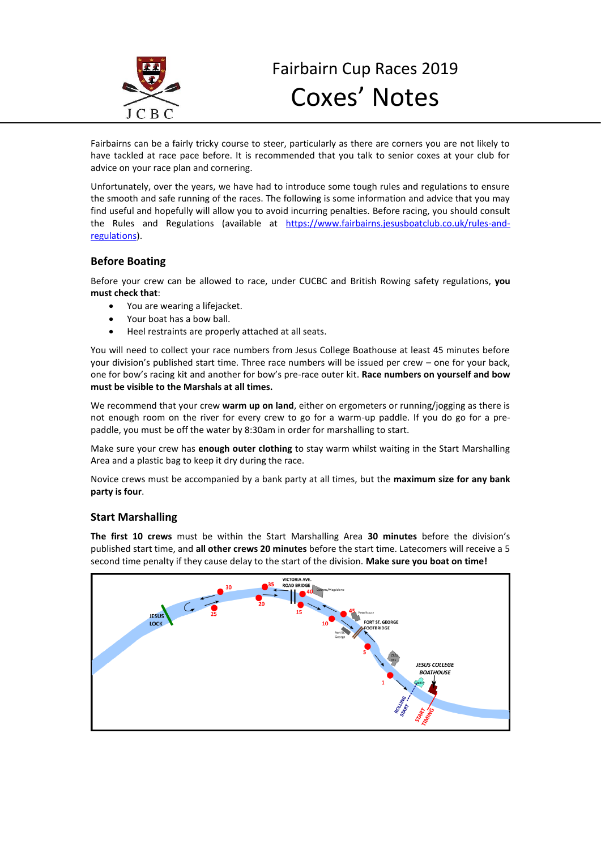

Fairbairns can be a fairly tricky course to steer, particularly as there are corners you are not likely to have tackled at race pace before. It is recommended that you talk to senior coxes at your club for advice on your race plan and cornering.

Unfortunately, over the years, we have had to introduce some tough rules and regulations to ensure the smooth and safe running of the races. The following is some information and advice that you may find useful and hopefully will allow you to avoid incurring penalties. Before racing, you should consult the Rules and Regulations (available at [https://www.fairbairns.jesusboatclub.co.uk/rules-and](https://www.fairbairns.jesusboatclub.co.uk/rules-and-regulations)[regulations\)](https://www.fairbairns.jesusboatclub.co.uk/rules-and-regulations).

## **Before Boating**

Before your crew can be allowed to race, under CUCBC and British Rowing safety regulations, **you must check that**:

- You are wearing a lifejacket.
- Your boat has a bow ball.
- Heel restraints are properly attached at all seats.

You will need to collect your race numbers from Jesus College Boathouse at least 45 minutes before your division's published start time. Three race numbers will be issued per crew – one for your back, one for bow's racing kit and another for bow's pre-race outer kit. **Race numbers on yourself and bow must be visible to the Marshals at all times.**

We recommend that your crew **warm up on land**, either on ergometers or running/jogging as there is not enough room on the river for every crew to go for a warm-up paddle. If you do go for a prepaddle, you must be off the water by 8:30am in order for marshalling to start.

Make sure your crew has **enough outer clothing** to stay warm whilst waiting in the Start Marshalling Area and a plastic bag to keep it dry during the race.

Novice crews must be accompanied by a bank party at all times, but the **maximum size for any bank party is four**.

# **Start Marshalling**

**The first 10 crews** must be within the Start Marshalling Area **30 minutes** before the division's published start time, and **all other crews 20 minutes** before the start time. Latecomers will receive a 5 second time penalty if they cause delay to the start of the division. **Make sure you boat on time!**

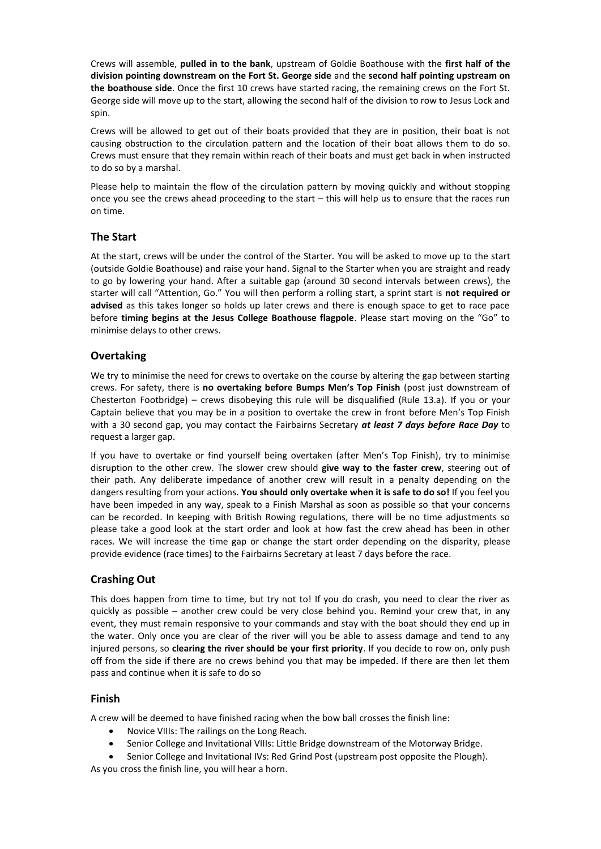Crews will assemble, **pulled in to the bank**, upstream of Goldie Boathouse with the **first half of the division pointing downstream on the Fort St. George side** and the **second half pointing upstream on the boathouse side**. Once the first 10 crews have started racing, the remaining crews on the Fort St. George side will move up to the start, allowing the second half of the division to row to Jesus Lock and spin.

Crews will be allowed to get out of their boats provided that they are in position, their boat is not causing obstruction to the circulation pattern and the location of their boat allows them to do so. Crews must ensure that they remain within reach of their boats and must get back in when instructed to do so by a marshal.

Please help to maintain the flow of the circulation pattern by moving quickly and without stopping once you see the crews ahead proceeding to the start – this will help us to ensure that the races run on time.

## **The Start**

At the start, crews will be under the control of the Starter. You will be asked to move up to the start (outside Goldie Boathouse) and raise your hand. Signal to the Starter when you are straight and ready to go by lowering your hand. After a suitable gap (around 30 second intervals between crews), the starter will call "Attention, Go." You will then perform a rolling start, a sprint start is **not required or advised** as this takes longer so holds up later crews and there is enough space to get to race pace before **timing begins at the Jesus College Boathouse flagpole**. Please start moving on the "Go" to minimise delays to other crews.

## **Overtaking**

We try to minimise the need for crews to overtake on the course by altering the gap between starting crews. For safety, there is **no overtaking before Bumps Men's Top Finish** (post just downstream of Chesterton Footbridge) – crews disobeying this rule will be disqualified (Rule 13.a). If you or your Captain believe that you may be in a position to overtake the crew in front before Men's Top Finish with a 30 second gap, you may contact the Fairbairns Secretary *at least 7 days before Race Day* to request a larger gap.

If you have to overtake or find yourself being overtaken (after Men's Top Finish), try to minimise disruption to the other crew. The slower crew should **give way to the faster crew**, steering out of their path. Any deliberate impedance of another crew will result in a penalty depending on the dangers resulting from your actions. **You should only overtake when it is safe to do so!** If you feel you have been impeded in any way, speak to a Finish Marshal as soon as possible so that your concerns can be recorded. In keeping with British Rowing regulations, there will be no time adjustments so please take a good look at the start order and look at how fast the crew ahead has been in other races. We will increase the time gap or change the start order depending on the disparity, please provide evidence (race times) to the Fairbairns Secretary at least 7 days before the race.

## **Crashing Out**

This does happen from time to time, but try not to! If you do crash, you need to clear the river as quickly as possible – another crew could be very close behind you. Remind your crew that, in any event, they must remain responsive to your commands and stay with the boat should they end up in the water. Only once you are clear of the river will you be able to assess damage and tend to any injured persons, so **clearing the river should be your first priority**. If you decide to row on, only push off from the side if there are no crews behind you that may be impeded. If there are then let them pass and continue when it is safe to do so

## **Finish**

A crew will be deemed to have finished racing when the bow ball crosses the finish line:

- Novice VIIIs: The railings on the Long Reach.
- Senior College and Invitational VIIIs: Little Bridge downstream of the Motorway Bridge.

• Senior College and Invitational IVs: Red Grind Post (upstream post opposite the Plough).

As you cross the finish line, you will hear a horn.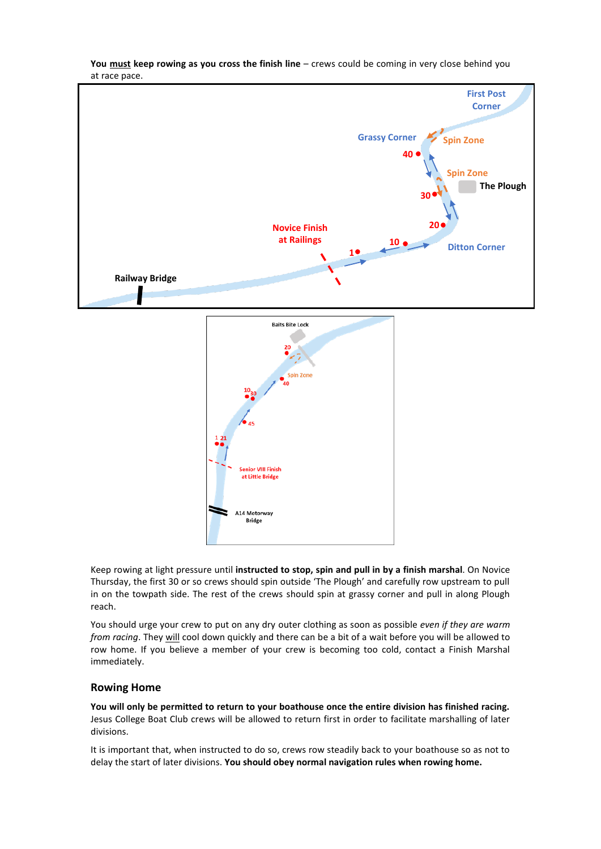

**You must keep rowing as you cross the finish line** – crews could be coming in very close behind you at race pace.

Keep rowing at light pressure until **instructed to stop, spin and pull in by a finish marshal**. On Novice Thursday, the first 30 or so crews should spin outside 'The Plough' and carefully row upstream to pull in on the towpath side. The rest of the crews should spin at grassy corner and pull in along Plough reach.

You should urge your crew to put on any dry outer clothing as soon as possible *even if they are warm from racing*. They will cool down quickly and there can be a bit of a wait before you will be allowed to row home. If you believe a member of your crew is becoming too cold, contact a Finish Marshal immediately.

### **Rowing Home**

**You will only be permitted to return to your boathouse once the entire division has finished racing.**  Jesus College Boat Club crews will be allowed to return first in order to facilitate marshalling of later divisions.

It is important that, when instructed to do so, crews row steadily back to your boathouse so as not to delay the start of later divisions. **You should obey normal navigation rules when rowing home.**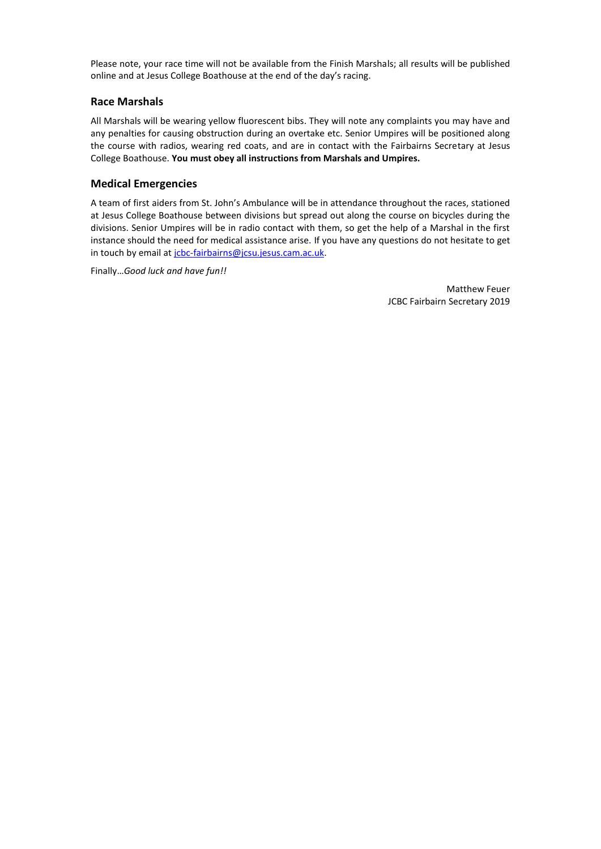Please note, your race time will not be available from the Finish Marshals; all results will be published online and at Jesus College Boathouse at the end of the day's racing.

## **Race Marshals**

All Marshals will be wearing yellow fluorescent bibs. They will note any complaints you may have and any penalties for causing obstruction during an overtake etc. Senior Umpires will be positioned along the course with radios, wearing red coats, and are in contact with the Fairbairns Secretary at Jesus College Boathouse. **You must obey all instructions from Marshals and Umpires.**

# **Medical Emergencies**

A team of first aiders from St. John's Ambulance will be in attendance throughout the races, stationed at Jesus College Boathouse between divisions but spread out along the course on bicycles during the divisions. Senior Umpires will be in radio contact with them, so get the help of a Marshal in the first instance should the need for medical assistance arise. If you have any questions do not hesitate to get in touch by email a[t jcbc-fairbairns@jcsu.jesus.cam.ac.uk.](mailto:jcbc-fairbairns@jcsu.jesus.cam.ac.uk)

Finally…*Good luck and have fun!!* 

Matthew Feuer JCBC Fairbairn Secretary 2019